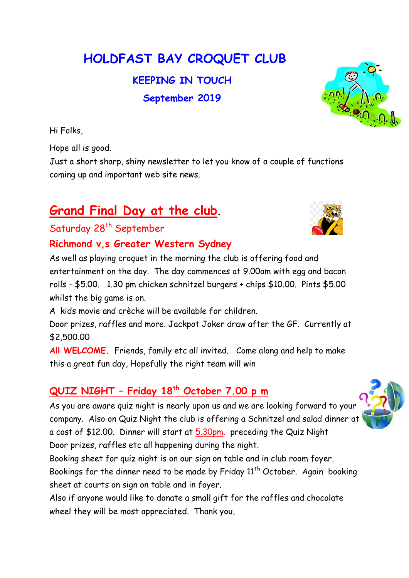HOLDFAST BAY CROQUET CLUB

KEEPING IN TOUCH September 2019

Hi Folks,

Hope all is good.

Just a short sharp, shiny newsletter to let you know of a couple of functions coming up and important web site news.

## Grand Final Day at the club.

## Saturday 28<sup>th</sup> September

## Richmond v,s Greater Western Sydney

As well as playing croquet in the morning the club is offering food and entertainment on the day. The day commences at 9.00am with egg and bacon rolls - \$5.00. 1.30 pm chicken schnitzel burgers + chips \$10.00. Pints \$5.00 whilst the big game is on.

A kids movie and crèche will be available for children.

Door prizes, raffles and more. Jackpot Joker draw after the GF. Currently at \$2,500.00

All WELCOME. Friends, family etc all invited. Come along and help to make this a great fun day, Hopefully the right team will win

## QUIZ NIGHT – Friday 18th October 7.00 p m

As you are aware quiz night is nearly upon us and we are looking forward to your company. Also on Quiz Night the club is offering a Schnitzel and salad dinner at a cost of \$12.00. Dinner will start at 5.30pm. preceding the Quiz Night Door prizes, raffles etc all happening during the night.

Booking sheet for quiz night is on our sign on table and in club room foyer. Bookings for the dinner need to be made by Friday  $11<sup>th</sup>$  October. Again booking sheet at courts on sign on table and in foyer.

Also if anyone would like to donate a small gift for the raffles and chocolate wheel they will be most appreciated. Thank you,